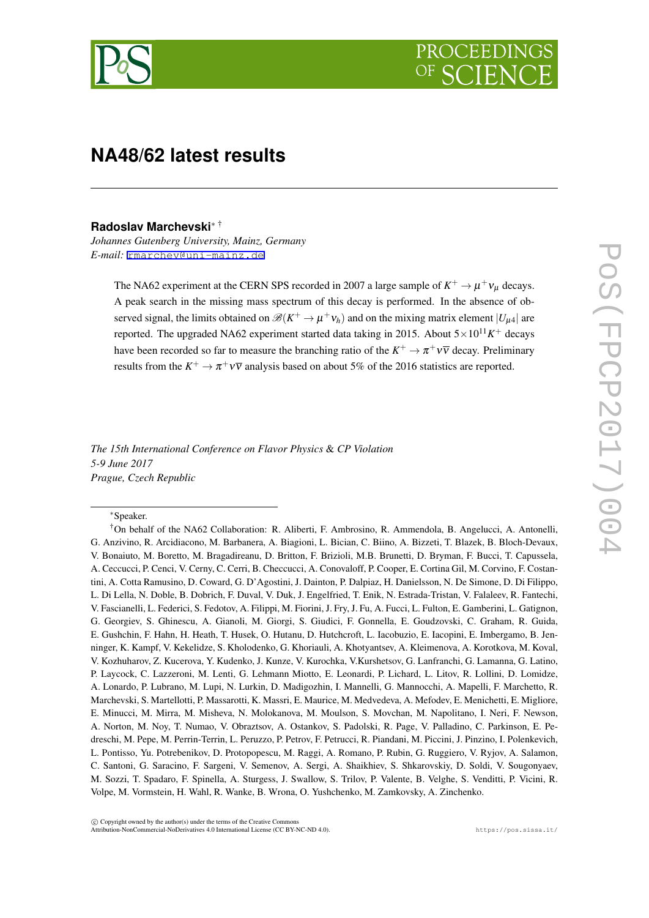

# **NA48/62 latest results**

#### **Radoslav Marchevski***<sup>∗</sup>* †

*Johannes Gutenberg University, Mainz, Germany E-mail:* [rmarchev@uni-mainz.de](mailto:rmarchev@uni-mainz.de)

> The NA62 experiment at the CERN SPS recorded in 2007 a large sample of  $K^+ \to \mu^+ \nu_\mu$  decays. A peak search in the missing mass spectrum of this decay is performed. In the absence of observed signal, the limits obtained on  $\mathcal{B}(K^+ \to \mu^+ \nu_h)$  and on the mixing matrix element  $|U_{\mu 4}|$  are reported. The upgraded NA62 experiment started data taking in 2015. About 5*×*1011*<sup>K</sup>* <sup>+</sup> decays have been recorded so far to measure the branching ratio of the  $K^+ \to \pi^+ \nu \overline{\nu}$  decay. Preliminary results from the  $K^+ \to \pi^+ \nu \overline{\nu}$  analysis based on about 5% of the 2016 statistics are reported.

*The 15th International Conference on Flavor Physics* & *CP Violation 5-9 June 2017 Prague, Czech Republic*

*∗*Speaker.

<sup>†</sup>On behalf of the NA62 Collaboration: R. Aliberti, F. Ambrosino, R. Ammendola, B. Angelucci, A. Antonelli, G. Anzivino, R. Arcidiacono, M. Barbanera, A. Biagioni, L. Bician, C. Biino, A. Bizzeti, T. Blazek, B. Bloch-Devaux, V. Bonaiuto, M. Boretto, M. Bragadireanu, D. Britton, F. Brizioli, M.B. Brunetti, D. Bryman, F. Bucci, T. Capussela, A. Ceccucci, P. Cenci, V. Cerny, C. Cerri, B. Checcucci, A. Conovaloff, P. Cooper, E. Cortina Gil, M. Corvino, F. Costantini, A. Cotta Ramusino, D. Coward, G. D'Agostini, J. Dainton, P. Dalpiaz, H. Danielsson, N. De Simone, D. Di Filippo, L. Di Lella, N. Doble, B. Dobrich, F. Duval, V. Duk, J. Engelfried, T. Enik, N. Estrada-Tristan, V. Falaleev, R. Fantechi, V. Fascianelli, L. Federici, S. Fedotov, A. Filippi, M. Fiorini, J. Fry, J. Fu, A. Fucci, L. Fulton, E. Gamberini, L. Gatignon, G. Georgiev, S. Ghinescu, A. Gianoli, M. Giorgi, S. Giudici, F. Gonnella, E. Goudzovski, C. Graham, R. Guida, E. Gushchin, F. Hahn, H. Heath, T. Husek, O. Hutanu, D. Hutchcroft, L. Iacobuzio, E. Iacopini, E. Imbergamo, B. Jenninger, K. Kampf, V. Kekelidze, S. Kholodenko, G. Khoriauli, A. Khotyantsev, A. Kleimenova, A. Korotkova, M. Koval, V. Kozhuharov, Z. Kucerova, Y. Kudenko, J. Kunze, V. Kurochka, V.Kurshetsov, G. Lanfranchi, G. Lamanna, G. Latino, P. Laycock, C. Lazzeroni, M. Lenti, G. Lehmann Miotto, E. Leonardi, P. Lichard, L. Litov, R. Lollini, D. Lomidze, A. Lonardo, P. Lubrano, M. Lupi, N. Lurkin, D. Madigozhin, I. Mannelli, G. Mannocchi, A. Mapelli, F. Marchetto, R. Marchevski, S. Martellotti, P. Massarotti, K. Massri, E. Maurice, M. Medvedeva, A. Mefodev, E. Menichetti, E. Migliore, E. Minucci, M. Mirra, M. Misheva, N. Molokanova, M. Moulson, S. Movchan, M. Napolitano, I. Neri, F. Newson, A. Norton, M. Noy, T. Numao, V. Obraztsov, A. Ostankov, S. Padolski, R. Page, V. Palladino, C. Parkinson, E. Pedreschi, M. Pepe, M. Perrin-Terrin, L. Peruzzo, P. Petrov, F. Petrucci, R. Piandani, M. Piccini, J. Pinzino, I. Polenkevich, L. Pontisso, Yu. Potrebenikov, D. Protopopescu, M. Raggi, A. Romano, P. Rubin, G. Ruggiero, V. Ryjov, A. Salamon, C. Santoni, G. Saracino, F. Sargeni, V. Semenov, A. Sergi, A. Shaikhiev, S. Shkarovskiy, D. Soldi, V. Sougonyaev, M. Sozzi, T. Spadaro, F. Spinella, A. Sturgess, J. Swallow, S. Trilov, P. Valente, B. Velghe, S. Venditti, P. Vicini, R. Volpe, M. Vormstein, H. Wahl, R. Wanke, B. Wrona, O. Yushchenko, M. Zamkovsky, A. Zinchenko.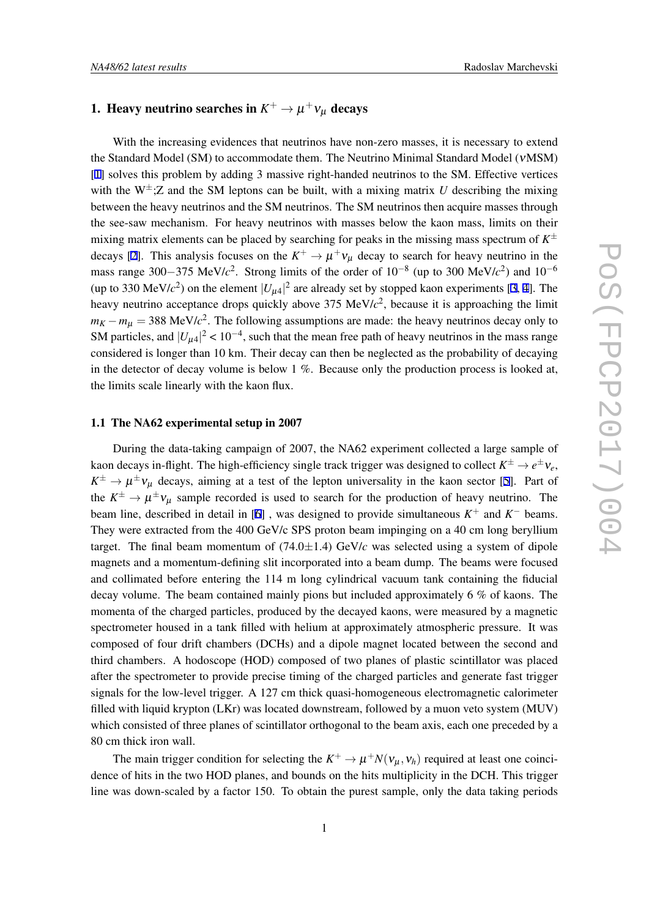# 1. Heavy neutrino searches in  $K^+ \to \mu^+ \nu_\mu$  decays

With the increasing evidences that neutrinos have non-zero masses, it is necessary to extend the Standard Model (SM) to accommodate them. The Neutrino Minimal Standard Model (νMSM) [[1](#page-8-0)] solves this problem by adding 3 massive right-handed neutrinos to the SM. Effective vertices with the  $W^{\pm}$ ; Z and the SM leptons can be built, with a mixing matrix *U* describing the mixing between the heavy neutrinos and the SM neutrinos. The SM neutrinos then acquire masses through the see-saw mechanism. For heavy neutrinos with masses below the kaon mass, limits on their mixing matrix elements can be placed by searching for peaks in the missing mass spectrum of *K ±* decays [\[2\]](#page-8-0). This analysis focuses on the  $K^+ \to \mu^+ \nu_\mu$  decay to search for heavy neutrino in the mass range 300*−*375 MeV/*c* 2 . Strong limits of the order of 10*−*<sup>8</sup> (up to 300 MeV/*c* 2 ) and 10*−*<sup>6</sup> (up to [3](#page-8-0)30 MeV/ $c^2$ ) on the element  $|U_{\mu 4}|^2$  $|U_{\mu 4}|^2$  $|U_{\mu 4}|^2$  are already set by stopped kaon experiments [3, 4]. The heavy neutrino acceptance drops quickly above 375 MeV/ $c<sup>2</sup>$ , because it is approaching the limit  $m_K - m_\mu = 388$  MeV/ $c^2$ . The following assumptions are made: the heavy neutrinos decay only to SM particles, and  $|U_{\mu 4}|^2 < 10^{-4}$ , such that the mean free path of heavy neutrinos in the mass range considered is longer than 10 km. Their decay can then be neglected as the probability of decaying in the detector of decay volume is below  $1\%$ . Because only the production process is looked at, the limits scale linearly with the kaon flux.

### 1.1 The NA62 experimental setup in 2007

During the data-taking campaign of 2007, the NA62 experiment collected a large sample of kaon decays in-flight. The high-efficiency single track trigger was designed to collect  $K^{\pm} \to e^{\pm} \nu_e$ ,  $K^{\pm} \to \mu^{\pm} \nu_{\mu}$  decays, aiming at a test of the lepton universality in the kaon sector [\[5\]](#page-8-0). Part of the  $K^{\pm} \to \mu^{\pm} \nu_{\mu}$  sample recorded is used to search for the production of heavy neutrino. The beam line, described in detail in [\[6\]](#page-8-0), was designed to provide simultaneous  $K^+$  and  $K^-$  beams. They were extracted from the 400 GeV/c SPS proton beam impinging on a 40 cm long beryllium target. The final beam momentum of  $(74.0 \pm 1.4)$  GeV/*c* was selected using a system of dipole magnets and a momentum-defining slit incorporated into a beam dump. The beams were focused and collimated before entering the 114 m long cylindrical vacuum tank containing the fiducial decay volume. The beam contained mainly pions but included approximately 6 % of kaons. The momenta of the charged particles, produced by the decayed kaons, were measured by a magnetic spectrometer housed in a tank filled with helium at approximately atmospheric pressure. It was composed of four drift chambers (DCHs) and a dipole magnet located between the second and third chambers. A hodoscope (HOD) composed of two planes of plastic scintillator was placed after the spectrometer to provide precise timing of the charged particles and generate fast trigger signals for the low-level trigger. A 127 cm thick quasi-homogeneous electromagnetic calorimeter filled with liquid krypton (LKr) was located downstream, followed by a muon veto system (MUV) which consisted of three planes of scintillator orthogonal to the beam axis, each one preceded by a 80 cm thick iron wall.

The main trigger condition for selecting the  $K^+ \to \mu^+ N(\nu_\mu, \nu_h)$  required at least one coincidence of hits in the two HOD planes, and bounds on the hits multiplicity in the DCH. This trigger line was down-scaled by a factor 150. To obtain the purest sample, only the data taking periods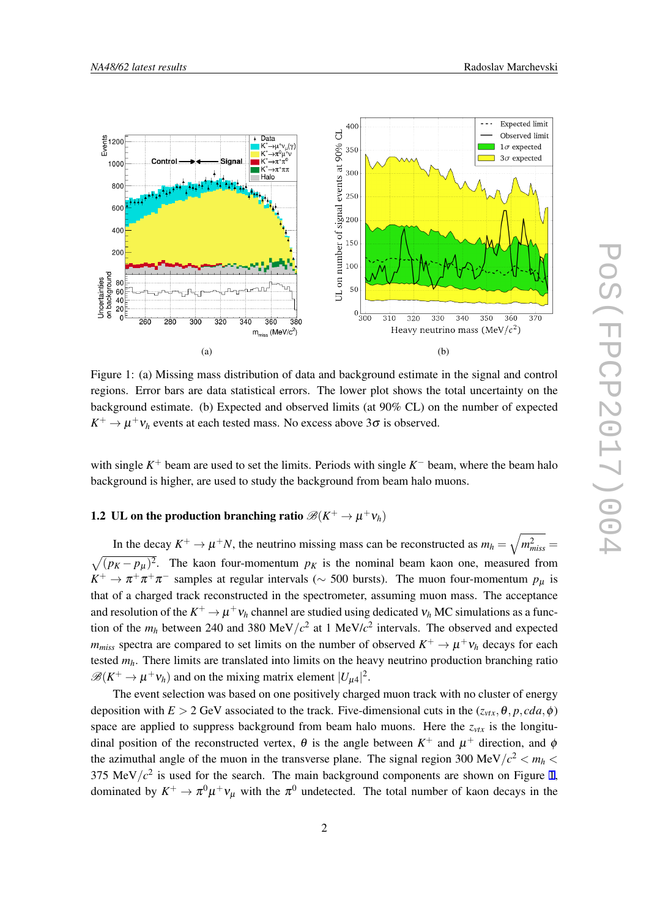

Figure 1: (a) Missing mass distribution of data and background estimate in the signal and control regions. Error bars are data statistical errors. The lower plot shows the total uncertainty on the background estimate. (b) Expected and observed limits (at 90% CL) on the number of expected  $K^+ \to \mu^+ \nu_h$  events at each tested mass. No excess above 3 $\sigma$  is observed.

with single  $K^+$  beam are used to set the limits. Periods with single  $K^-$  beam, where the beam halo background is higher, are used to study the background from beam halo muons.

# 1.2 UL on the production branching ratio  $\mathscr{B}(K^+ \to \mu^+ \nu_h)$

In the decay  $K^+ \to \mu^+ N$ , the neutrino missing mass can be reconstructed as  $m_h = \sqrt{m_{miss}^2}$  $\sqrt{(p_K - p_\mu)^2}$ . The kaon four-momentum  $p_K$  is the nominal beam kaon one, measured from  $K^+ \to \pi^+ \pi^+ \pi^-$  samples at regular intervals ( $\sim$  500 bursts). The muon four-momentum  $p_\mu$  is that of a charged track reconstructed in the spectrometer, assuming muon mass. The acceptance and resolution of the  $K^+ \to \mu^+ \nu_h$  channel are studied using dedicated  $\nu_h$  MC simulations as a function of the  $m_h$  between 240 and 380 MeV/ $c^2$  at 1 MeV/ $c^2$  intervals. The observed and expected  $m_{miss}$  spectra are compared to set limits on the number of observed  $K^+ \to \mu^+ \nu_h$  decays for each tested *mh*. There limits are translated into limits on the heavy neutrino production branching ratio  $\mathscr{B}(K^+ \to \mu^+ \nu_h)$  and on the mixing matrix element  $|U_{\mu 4}|^2$ .

The event selection was based on one positively charged muon track with no cluster of energy deposition with  $E > 2$  GeV associated to the track. Five-dimensional cuts in the  $(z_{vtx}, \theta, p, cda, \phi)$ space are applied to suppress background from beam halo muons. Here the  $z_{vtx}$  is the longitudinal position of the reconstructed vertex,  $\theta$  is the angle between  $K^+$  and  $\mu^+$  direction, and  $\phi$ the azimuthal angle of the muon in the transverse plane. The signal region 300 MeV/ $c^2 < m_h$ 375 MeV $/c^2$  is used for the search. The main background components are shown on Figure 1, dominated by  $K^+ \to \pi^0 \mu^+ \nu_\mu$  with the  $\pi^0$  undetected. The total number of kaon decays in the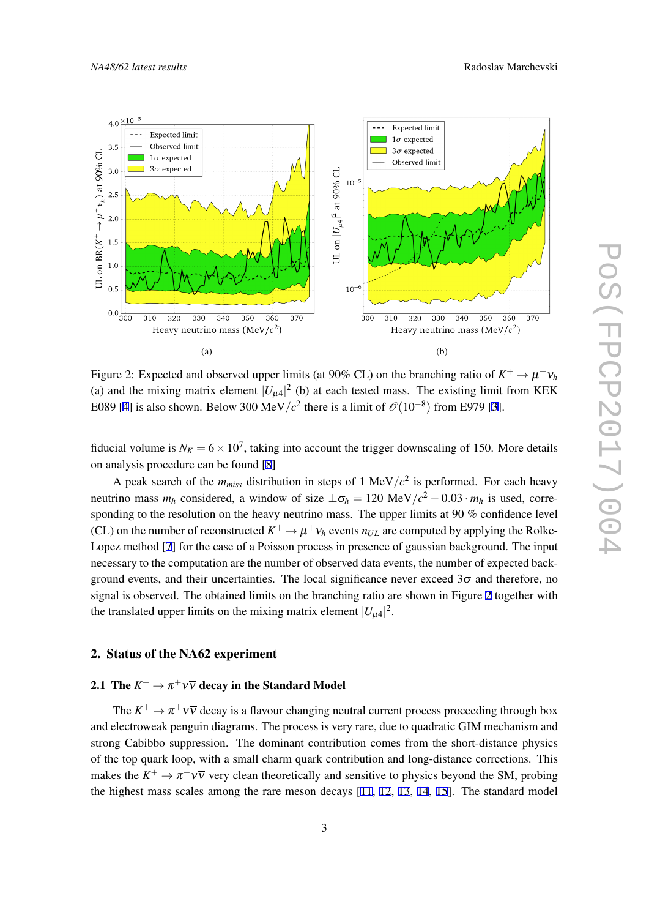

Figure 2: Expected and observed upper limits (at 90% CL) on the branching ratio of  $K^+ \to \mu^+ \nu_h$ (a) and the mixing matrix element  $|U_{\mu 4}|^2$  (b) at each tested mass. The existing limit from KEK E089 [[4](#page-8-0)] is also shown. Below 300 MeV/ $c^2$  there is a limit of  $\mathcal{O}(10^{-8})$  from E979 [\[3\]](#page-8-0).

fiducial volume is  $N_K = 6 \times 10^7$ , taking into account the trigger downscaling of 150. More details on analysis procedure can be found [[8](#page-8-0)]

A peak search of the  $m_{miss}$  distribution in steps of 1 MeV/ $c^2$  is performed. For each heavy neutrino mass  $m_h$  considered, a window of size  $\pm \sigma_h = 120 \text{ MeV}/c^2 - 0.03 \cdot m_h$  is used, corresponding to the resolution on the heavy neutrino mass. The upper limits at 90 % confidence level (CL) on the number of reconstructed  $K^+ \to \mu^+ \nu_h$  events  $n_{UL}$  are computed by applying the Rolke-Lopez method [\[7\]](#page-8-0) for the case of a Poisson process in presence of gaussian background. The input necessary to the computation are the number of observed data events, the number of expected background events, and their uncertainties. The local significance never exceed  $3\sigma$  and therefore, no signal is observed. The obtained limits on the branching ratio are shown in Figure 2 together with the translated upper limits on the mixing matrix element  $|U_{\mu 4}|^2$ .

### 2. Status of the NA62 experiment

# 2.1 The  $K^+ \to \pi^+ \nu \overline{\nu}$  decay in the Standard Model

The  $K^+ \to \pi^+ \nu \overline{\nu}$  decay is a flavour changing neutral current process proceeding through box and electroweak penguin diagrams. The process is very rare, due to quadratic GIM mechanism and strong Cabibbo suppression. The dominant contribution comes from the short-distance physics of the top quark loop, with a small charm quark contribution and long-distance corrections. This makes the  $K^+ \to \pi^+ \nu \bar{\nu}$  very clean theoretically and sensitive to physics beyond the SM, probing the highest mass scales among the rare meson decays [[11,](#page-8-0) [12,](#page-8-0) [13](#page-8-0), [14,](#page-8-0) [15\]](#page-8-0). The standard model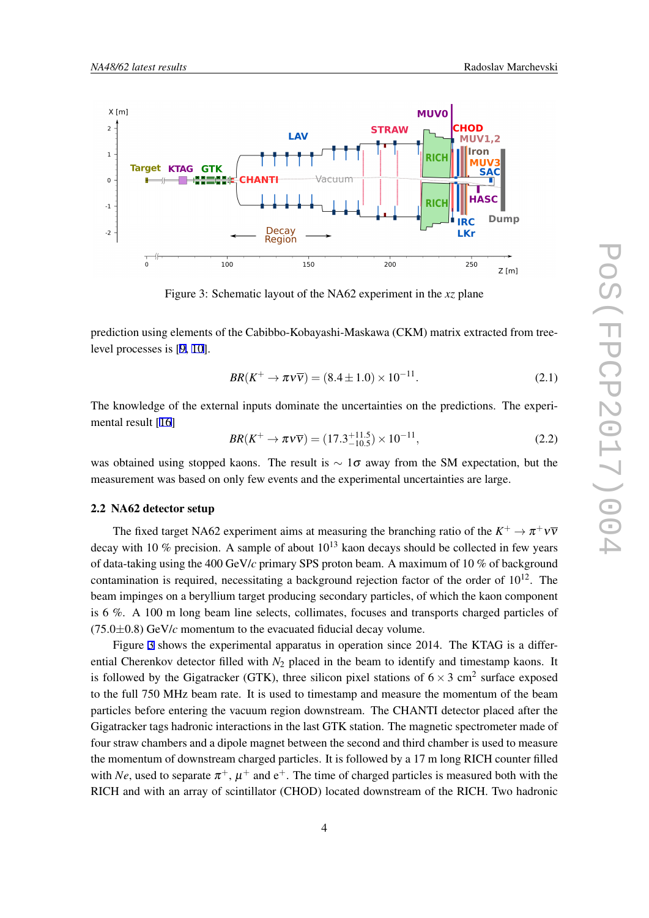

Figure 3: Schematic layout of the NA62 experiment in the *xz* plane

prediction using elements of the Cabibbo-Kobayashi-Maskawa (CKM) matrix extracted from treelevel processes is [[9](#page-8-0), [10\]](#page-8-0).

$$
BR(K^{+} \to \pi \nu \overline{\nu}) = (8.4 \pm 1.0) \times 10^{-11}.
$$
 (2.1)

The knowledge of the external inputs dominate the uncertainties on the predictions. The experimental result [\[16](#page-8-0)]

$$
BR(K^+ \to \pi \nu \overline{\nu}) = (17.3^{+11.5}_{-10.5}) \times 10^{-11}, \tag{2.2}
$$

was obtained using stopped kaons. The result is *∼* 1<sup>σ</sup> away from the SM expectation, but the measurement was based on only few events and the experimental uncertainties are large.

### 2.2 NA62 detector setup

The fixed target NA62 experiment aims at measuring the branching ratio of the  $K^+ \to \pi^+ \nu \bar{\nu}$ decay with 10 % precision. A sample of about  $10^{13}$  kaon decays should be collected in few years of data-taking using the 400 GeV/*c* primary SPS proton beam. A maximum of 10 % of background contamination is required, necessitating a background rejection factor of the order of  $10^{12}$ . The beam impinges on a beryllium target producing secondary particles, of which the kaon component is 6 %. A 100 m long beam line selects, collimates, focuses and transports charged particles of  $(75.0\pm0.8)$  GeV/ $c$  momentum to the evacuated fiducial decay volume.

Figure 3 shows the experimental apparatus in operation since 2014. The KTAG is a differential Cherenkov detector filled with *N*<sub>2</sub> placed in the beam to identify and timestamp kaons. It is followed by the Gigatracker (GTK), three silicon pixel stations of  $6 \times 3$  cm<sup>2</sup> surface exposed to the full 750 MHz beam rate. It is used to timestamp and measure the momentum of the beam particles before entering the vacuum region downstream. The CHANTI detector placed after the Gigatracker tags hadronic interactions in the last GTK station. The magnetic spectrometer made of four straw chambers and a dipole magnet between the second and third chamber is used to measure the momentum of downstream charged particles. It is followed by a 17 m long RICH counter filled with *Ne*, used to separate  $\pi^+$ ,  $\mu^+$  and  $e^+$ . The time of charged particles is measured both with the RICH and with an array of scintillator (CHOD) located downstream of the RICH. Two hadronic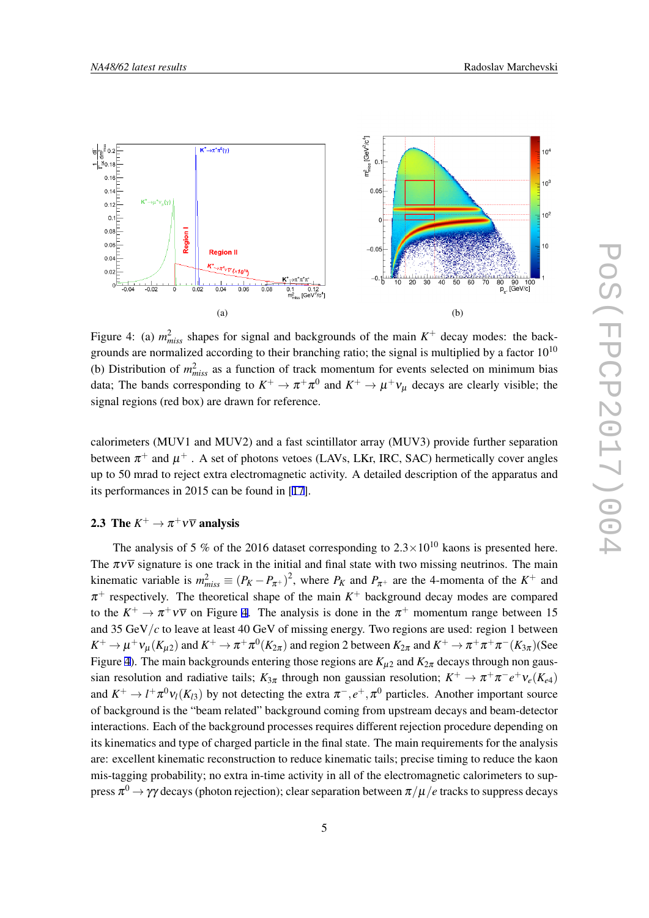<span id="page-5-0"></span>

Figure 4: (a)  $m<sub>miss</sub><sup>2</sup>$  shapes for signal and backgrounds of the main  $K<sup>+</sup>$  decay modes: the backgrounds are normalized according to their branching ratio; the signal is multiplied by a factor  $10^{10}$ (b) Distribution of  $m<sub>miss</sub><sup>2</sup>$  as a function of track momentum for events selected on minimum bias data; The bands corresponding to  $K^+ \to \pi^+ \pi^0$  and  $K^+ \to \mu^+ \nu_\mu$  decays are clearly visible; the signal regions (red box) are drawn for reference.

calorimeters (MUV1 and MUV2) and a fast scintillator array (MUV3) provide further separation between  $\pi^+$  and  $\mu^+$  . A set of photons vetoes (LAVs, LKr, IRC, SAC) hermetically cover angles up to 50 mrad to reject extra electromagnetic activity. A detailed description of the apparatus and its performances in 2015 can be found in [\[17](#page-8-0)].

# 2.3 The  $K^+ \to \pi^+ \nu \overline{\nu}$  analysis

The analysis of 5 % of the 2016 dataset corresponding to  $2.3 \times 10^{10}$  kaons is presented here. The  $\pi v \overline{v}$  signature is one track in the initial and final state with two missing neutrinos. The main kinematic variable is  $m_{miss}^2 \equiv (P_K - P_{\pi^+})^2$ , where  $P_K$  and  $P_{\pi^+}$  are the 4-momenta of the  $K^+$  and  $\pi^+$  respectively. The theoretical shape of the main  $K^+$  background decay modes are compared to the  $K^+ \to \pi^+ \nu \overline{\nu}$  on Figure 4. The analysis is done in the  $\pi^+$  momentum range between 15 and 35 GeV*/c* to leave at least 40 GeV of missing energy. Two regions are used: region 1 between  $K^+ \to \mu^+ \nu_\mu (K_{\mu 2})$  and  $K^+ \to \pi^+ \pi^0 (K_{2\pi})$  and region 2 between  $K_{2\pi}$  and  $K^+ \to \pi^+ \pi^+ \pi^- (K_{3\pi})$ (See Figure 4). The main backgrounds entering those regions are  $K_{1/2}$  and  $K_{2\pi}$  decays through non gaussian resolution and radiative tails;  $K_{3\pi}$  through non gaussian resolution;  $K^+ \to \pi^+\pi^-e^+\nu_e(K_{e4})$ and  $K^+ \to l^+\pi^0 \nu_l(K_{l3})$  by not detecting the extra  $\pi^-, e^+, \pi^0$  particles. Another important source of background is the "beam related" background coming from upstream decays and beam-detector interactions. Each of the background processes requires different rejection procedure depending on its kinematics and type of charged particle in the final state. The main requirements for the analysis are: excellent kinematic reconstruction to reduce kinematic tails; precise timing to reduce the kaon mis-tagging probability; no extra in-time activity in all of the electromagnetic calorimeters to suppress <sup>π</sup> <sup>0</sup> *<sup>→</sup>* γγ decays (photon rejection); clear separation between <sup>π</sup>*/*µ*/<sup>e</sup>* tracks to suppress decays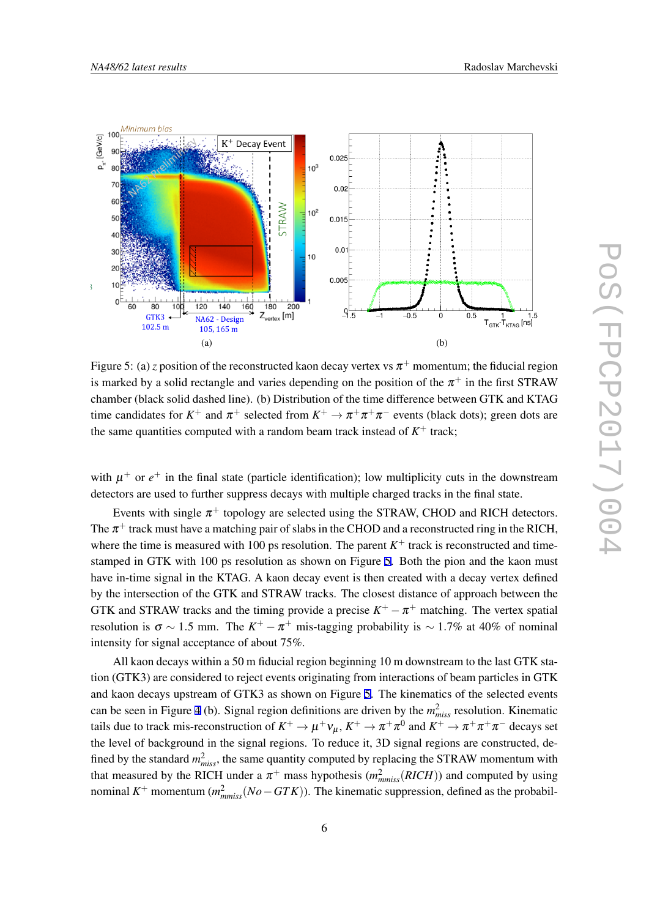

Figure 5: (a) *z* position of the reconstructed kaon decay vertex vs  $\pi^+$  momentum; the fiducial region is marked by a solid rectangle and varies depending on the position of the  $\pi^+$  in the first STRAW chamber (black solid dashed line). (b) Distribution of the time difference between GTK and KTAG time candidates for  $K^+$  and  $\pi^+$  selected from  $K^+ \to \pi^+ \pi^+ \pi^-$  events (black dots); green dots are the same quantities computed with a random beam track instead of  $K^+$  track;

with  $\mu^+$  or  $e^+$  in the final state (particle identification); low multiplicity cuts in the downstream detectors are used to further suppress decays with multiple charged tracks in the final state.

Events with single  $\pi^{+}$  topology are selected using the STRAW, CHOD and RICH detectors. The  $\pi^+$  track must have a matching pair of slabs in the CHOD and a reconstructed ring in the RICH, where the time is measured with 100 ps resolution. The parent  $K^+$  track is reconstructed and timestamped in GTK with 100 ps resolution as shown on Figure 5. Both the pion and the kaon must have in-time signal in the KTAG. A kaon decay event is then created with a decay vertex defined by the intersection of the GTK and STRAW tracks. The closest distance of approach between the GTK and STRAW tracks and the timing provide a precise  $K^+ - \pi^+$  matching. The vertex spatial resolution is  $\sigma \sim 1.5$  mm. The  $K^+ - \pi^+$  mis-tagging probability is  $\sim 1.7\%$  at 40% of nominal intensity for signal acceptance of about 75%.

All kaon decays within a 50 m fiducial region beginning 10 m downstream to the last GTK station (GTK3) are considered to reject events originating from interactions of beam particles in GTK and kaon decays upstream of GTK3 as shown on Figure 5. The kinematics of the selected events can be seen in Figure [4](#page-5-0) (b). Signal region definitions are driven by the  $m<sub>miss</sub><sup>2</sup>$  resolution. Kinematic tails due to track mis-reconstruction of  $K^+ \to \mu^+\nu_\mu$ ,  $K^+ \to \pi^+\pi^0$  and  $K^+ \to \pi^+\pi^+\pi^-$  decays set the level of background in the signal regions. To reduce it, 3D signal regions are constructed, defined by the standard  $m^2_{miss}$ , the same quantity computed by replacing the STRAW momentum with that measured by the RICH under a  $\pi^+$  mass hypothesis  $(m_{mmiss}^2(RICH))$  and computed by using nominal  $K^+$  momentum  $(m_{mmiss}^2(No - GTK))$ . The kinematic suppression, defined as the probabil-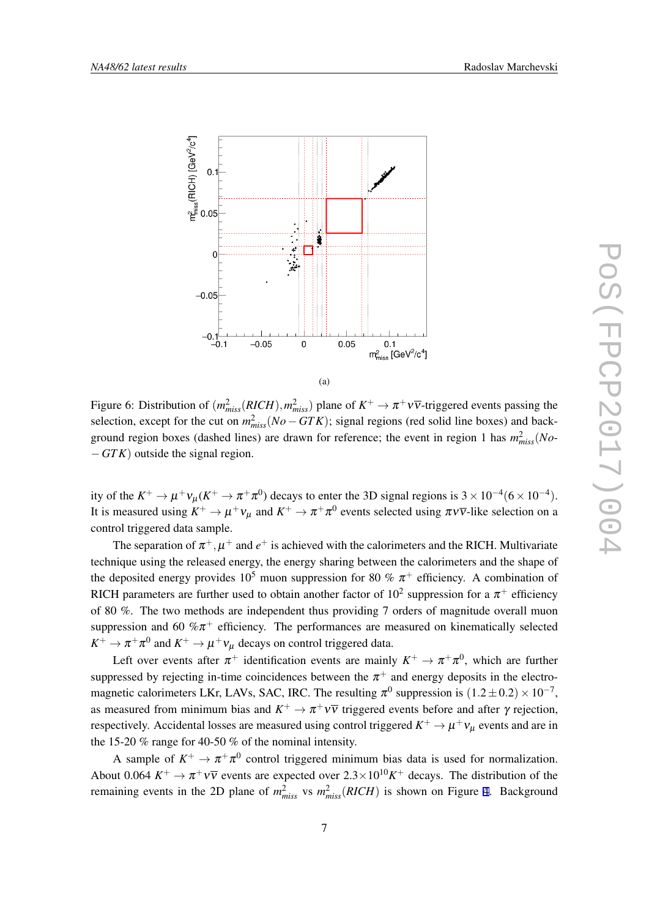

(a)

Figure 6: Distribution of  $(m_{miss}^2(RICH), m_{miss}^2)$  plane of  $K^+ \to \pi^+ \nu \overline{\nu}$ -triggered events passing the selection, except for the cut on  $m_{miss}^2(No - GTK)$ ; signal regions (red solid line boxes) and background region boxes (dashed lines) are drawn for reference; the event in region 1 has  $m^2_{miss}(No-$ *−GTK*) outside the signal region.

ity of the  $K^+ \to \mu^+ \nu_\mu (K^+ \to \pi^+ \pi^0)$  decays to enter the 3D signal regions is  $3 \times 10^{-4} (6 \times 10^{-4})$ . It is measured using  $K^+ \to \mu^+ \nu_\mu$  and  $K^+ \to \pi^+ \pi^0$  events selected using  $\pi \nu \overline{\nu}$ -like selection on a control triggered data sample.

The separation of  $\pi^+$ ,  $\mu^+$  and  $e^+$  is achieved with the calorimeters and the RICH. Multivariate technique using the released energy, the energy sharing between the calorimeters and the shape of the deposited energy provides 10<sup>5</sup> muon suppression for 80 %  $\pi$ <sup>+</sup> efficiency. A combination of RICH parameters are further used to obtain another factor of  $10^2$  suppression for a  $\pi^+$  efficiency of 80 %. The two methods are independent thus providing 7 orders of magnitude overall muon suppression and 60  $\% \pi^{+}$  efficiency. The performances are measured on kinematically selected  $K^+ \to \pi^+ \pi^0$  and  $K^+ \to \mu^+ \nu_\mu$  decays on control triggered data.

Left over events after  $\pi^+$  identification events are mainly  $K^+ \to \pi^+ \pi^0$ , which are further suppressed by rejecting in-time coincidences between the  $\pi^+$  and energy deposits in the electromagnetic calorimeters LKr, LAVs, SAC, IRC. The resulting  $\pi^0$  suppression is  $(1.2 \pm 0.2) \times 10^{-7}$ , as measured from minimum bias and  $K^+ \to \pi^+ \nu \overline{\nu}$  triggered events before and after  $\gamma$  rejection, respectively. Accidental losses are measured using control triggered  $K^+ \to \mu^+ \nu_\mu$  events and are in the 15-20 % range for 40-50 % of the nominal intensity.

A sample of  $K^+ \to \pi^+ \pi^0$  control triggered minimum bias data is used for normalization. About 0.064  $K^+ \to \pi^+ \nu \bar{\nu}$  events are expected over  $2.3 \times 10^{10} K^+$  decays. The distribution of the remaining events in the 2D plane of  $m<sub>miss</sub><sup>2</sup>$  vs  $m<sub>miss</sub><sup>2</sup>(RICH)$  is shown on Figure [4.](#page-5-0) Background